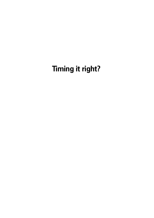# **Timing it right?**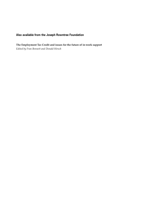#### **Also available from the Joseph Rowntree Foundation**

**The Employment Tax Credit and issues for the future of in-work support** *Edited by Fran Bennett and Donald Hirsch*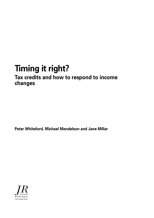## **Timing it right?**

### **Tax credits and how to respond to income changes**

**Peter Whiteford, Michael Mendelson and Jane Millar**

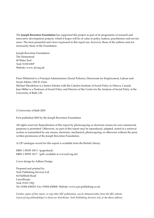The **Joseph Rowntree Foundation** has supported this project as part of its programme of research and innovative development projects, which it hopes will be of value to policy makers, practitioners and service users. The facts presented and views expressed in this report are, however, those of the authors and not necessarily those of the Foundation.

Joseph Rowntree Foundation The Homestead 40 Water End York YO30 6WP Website: www. jrf.org.uk

Peter Whiteford is a Principal Administrator (Social Policies), Directorate for Employment, Labour and Social Affairs, OECD, Paris

Michael Mendelson is a Senior Scholar with the Caledon Institute of Social Policy in Ottawa, Canada Jane Millar is a Professor of Social Policy and Director of the Centre for the Analysis of Social Policy at the University of Bath, UK.

© University of Bath 2003

First published 2003 by the Joseph Rowntree Foundation

All rights reserved. Reproduction of this report by photocopying or electronic means for non-commercial purposes is permitted. Otherwise, no part of this report may be reproduced, adapted, stored in a retrieval system or transmitted by any means, electronic, mechanical, photocopying, or otherwise without the prior written permission of the Joseph Rowntree Foundation.

A CIP catalogue record for this report is available from the British Library.

ISBN 1 85935 109 3 (paperback) ISBN 1 85935 110 7 (pdf: available at www.jrf.org.uk)

Cover design by Adkins Design

Prepared and printed by: York Publishing Services Ltd 64 Hallfield Road Layerthorpe York YO31 7ZQ Tel: 01904 430033; Fax: 01904 430868; Website: www.yps-publishing.co.uk

*Further copies of this report, or any other JRF publication, can be obtained either from the JRF website (www.jrf.org.uk/bookshop/) or from our distributor, York Publishing Services Ltd, at the above address.*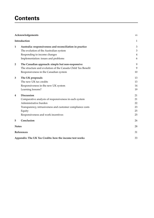### **Contents**

|                         | Acknowledgements                                            | vi             |
|-------------------------|-------------------------------------------------------------|----------------|
|                         | Introduction                                                | 1              |
| 1                       | Australia: responsiveness and reconciliation in practice    | $\mathfrak{Z}$ |
|                         | The evolution of the Australian system                      | $\mathfrak{Z}$ |
|                         | Responding to income changes                                | 4              |
|                         | Implementation: issues and problems                         | 6              |
| $\overline{\mathbf{2}}$ | The Canadian approach: simple but non-responsive            | 9              |
|                         | The structure and evolution of the Canada Child Tax Benefit | 9              |
|                         | Responsiveness in the Canadian system                       | 10             |
| 3                       | The UK proposals                                            | 13             |
|                         | The new UK tax credits                                      | 13             |
|                         | Responsiveness in the new UK system                         | 14             |
|                         | Learning lessons?                                           | 19             |
| 4                       | <b>Discussion</b>                                           | 21             |
|                         | Comparative analysis of responsiveness in each system       | 21             |
|                         | Administrative burden                                       | 22             |
|                         | Transparency, intrusiveness and customer compliance costs   | 23             |
|                         | Equity                                                      | 25             |
|                         | Responsiveness and work incentives                          | 25             |
| 5                       | Conclusion                                                  | 26             |
| <b>Notes</b>            |                                                             | 28             |
|                         | References                                                  | 31             |
|                         | Appendix: The UK Tax Credits: how the income test works     | 33             |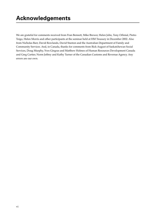We are grateful for comments received from Fran Bennett, Mike Brewer, Helen John, Tony Orhnial, Pietro Toigo, Helen Morris and other participants at the seminar held at HM Treasury in December 2002. Also from Nicholas Barr, David Rowlands, David Stanton and the Australian Department of Family and Community Services. And, in Canada, thanks for comments from Rick August of Saskatchewan Social Services, Doug Murphy, Yves Gingras and Matthew Holmes of Human Resources Development Canada and Greg Cartier, Norm Jeffrey and Kathy Turner of the Canadian Customs and Revenue Agency. Any errors are our own.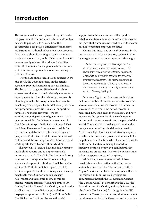The tax system deals with payments *by* citizens to the government. The social security benefits system deals with payments *to* citizens from the government. Each plays a different role in income redistribution. Although it has often been proposed that the two should be brought together into one single delivery system, in the UK taxes and benefits have generally retained their distinct identities, their different roles, their separate administrations, and their diverse approaches to income testing – that is, until now.

After the abolition of child tax allowances in the mid 1970s, the UK relied solely on the benefit system to provide financial support for families. This began to change in 1999 when the Labour government first introduced relatively modest taxbased payments. Now, the Labour government is planning to make the tax system, rather than the benefits system, responsible for delivering the main new programme providing financial support to families. The Inland Revenue – the tax administration department of government – took over responsibility for delivering the universal Child Benefit in April 2002. Starting in April 2003, the Inland Revenue will become responsible for two new refundable tax credits for working-age people: the Child Tax Credit, for most families with children, and the Working Tax Credit, for low-paid working adults, with and without children.

The new UK tax credits have two main aims: to tackle child poverty and to improve financial incentives to work. The Child Tax Credit will bring together into one system the various existing elements of support for children. It will be paid in addition to Child Benefit, but replace the child additions1 paid to families receiving social security benefits (Income Support and Job Seekers' Allowance) and those paid to low to middle income working families (Working Families Tax Credit/Disabled Person's Tax Credit), as well as the small amount of tax relief now provided for taxpayers supporting children (the Children's Tax Credit). For the first time, the same financial

support from the same source will be paid on behalf of children in families across a wide income range, with the amounts received related to income but not to parental employment status.

Having this integrated system2 delivered by the tax, rather than the social security system, is seen by the government to offer important advantages:

… the income tax system provides a light touch and non-stigmatising way of measuring income. … The advent of the new tax credits offers the opportunity to introduce a new system based on the principle of progressive universalism. This means supporting all families with children, but offering greatest help to those who need it most through a light touch income test. (HM Treasury, 2002, p. 4)

But even a 'light touch' income test involves making a number of decisions – what is taken into account as income, whose income in a family unit is counted, over what time period income is measured, how long awards should last, and how responsive the system should be to changes in income and circumstances during the period of the award. These are the main design issues that the tax system must address in delivering benefits. Achieving a light touch means designing a system which, on the one hand, provides families with the help they need at the time when they need it, while, on the other hand, minimising the need for intrusive, complex, costly and administratively burdensome procedures. In short, the system must balance responsiveness and simplicity.

While using the tax system to administer benefits is a new innovation in the UK, the tax system has been used for this purpose in other Anglo-American countries for many years. Benefits for children and/or low-paid workers are administered through the tax system in Canada (the Canada Child Tax Benefit) and the USA (the Earned Income Tax Credit), and partly in Australia (the Family Tax Benefits). 3 In designing the UK system, the Treasury paper notes, 'the Government has drawn upon both the Canadian and Australian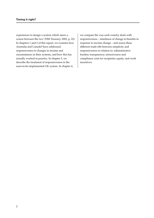experiences to design a system which steers a course between the two' (HM Treasury, 2002, p. 22). In chapters 1 and 2 of this report, we examine how Australia and Canada4 have addressed responsiveness to changes in income and circumstances in their systems, and how this has actually worked in practice. In chapter 3, we describe the treatment of responsiveness in the soon-to-be-implemented UK system. In chapter 4,

we compare the way each country deals with responsiveness – timeliness of change in benefits in response to income change – and assess these different trade-offs between simplicity and responsiveness in relation to: administrative burden; transparency, intrusiveness and compliance costs for recipients; equity; and work incentives.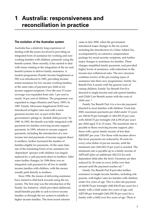### **1 Australia: responsiveness and reconciliation in practice**

#### **The evolution of the Australian system**

Australia has a relatively long experience of dealing with the issues involved in providing an integrated form of assistance for working and nonworking families with children, primarily using the benefit system. More recently, it has started to deal with issues relating to the integration of the tax and benefit systems to deliver family assistance. A modest programme (Family Income Supplement or FIS) was introduced in 1983, providing incometested assistance for low income working families, at the same rates of payment per child as for income support recipients. Over the next 15 years coverage was expanded from only 1 per cent to nearly 14 per cent of children. The programme was expanded in stages (Stanton and Fuery, 1995). In 1987, Family Allowance Supplement (FAS) was introduced at higher rates and with a more generous income test, as part of the then government's pledge to 'abolish child poverty' by 1990. In 1993, the benefit was fully integrated with payments for families receiving income support payments. In 1995, reforms to income support payments, including the introduction of a new income test and payments of income support direct to mothers, further increased the number of families eligible for payments. At the same time, one of the remaining forms of tax assistance for 'dependent' spouses with children was largely replaced by a cash payment direct to mothers. After some further changes, by 1996 there was an integrated cash payment for all low to middle income families with children, with the money usually paid directly to mothers.

Since 1996, the means of delivering assistance have started to shift back towards using the tax system. The first step was the introduction of the Family Tax Initiative, which provided additional, small benefits payable in cash to lower income families or through the tax system to middle to higher income families. The most recent reforms

came in July 2000, when the government introduced major changes to the tax system including the introduction of a Value Added Tax, accompanied by an extensive compensation package for social security recipients, and further major changes to assistance for families. These changes simplified family payments, and provided higher levels of assistance, with reductions in the income-test withdrawal rates. The new structure combines twelve of the pre-existing types of assistance into three new programmes. Family Tax Benefit Part A assists with the general costs of raising children; Family Tax Benefit Part B is directed to single-income and sole-parent families; and Child Care Benefit assists with the costs of child care. 5

Family Tax Benefit Part A is a two-tier payment directed to most families with children. From July 2002, maximum payments per child under 13 years are A\$126.70 per fortnight or A\$3,303.25 per year, with A\$160.72 per fortnight (A\$ 4,190.20 per year) per child aged 13 to 15 years. The maximum rate is payable to those receiving income support, plus those with a gross family income of less than A\$30,807 per year. 6 For those with incomes above this level, payments are reduced by 30 cents for every extra dollar of pre-tax income, until the minimum rate (A\$1,062.15 per year) is reached. The minimum rate is payable up to a family income of A\$79,643 (plus an additional A\$3,212 for each dependent child after the first). Payments are then reduced by 30 cents in every dollar over that amount until the payment reaches nil. 7

Family Tax Benefit Part B provides further assistance to single-income families, including sole parents, with higher rates for families with children under five years of age. This is a flat rate payment of A\$108.78 per fortnight (A\$2,836.05 per year) for a family with a child under five years of age, and A\$75.88 per fortnight (A\$1,978.30 per year) for a family with a child over five years of age. There is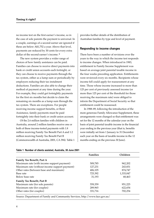no income test on the first earner's income, so in the case of sole parents the payment is universal. In a couple, earnings of a second earner are ignored if these are below A\$1,752 a year. Above that level, payments are reduced by 30 cents for every extra dollar of the second earner's income. 8

The new system provides a wider range of choices of how family assistance can be paid. Families can choose to receive direct payments into bank or credit union accounts each fortnight, or they can choose to receive payments through the tax system, either as a lump sum or periodically by employers reducing their tax instalment deductions. Families are also able to change their method of payment at any time during the year. For example, they could get fortnightly payments for the first six months but decide to claim the remaining six months as a lump sum through the tax system. There are exceptions. For people receiving income support benefits, or Rent Assistance, family payments must be paid fortnightly into their bank or credit union account.

Of the 2.6 million families with children in Australia, around 2 million families receive one or both of these income-tested payments with 1.8 million receiving Family Tax Benefit Part A and 1.2 million receiving Family Tax Benefit Part B (Commonwealth of Australia, 2001, CA 394). Table 1 provides further details of the distribution of Australian families by type and level of payment.

#### **Responding to income changes**

There have been a number of revisions over the years to the way in which the income test responds to income changes. When introduced in 1983, entitlement to Family Income Supplement was based on average joint parental taxable income in the four weeks preceding application. Entitlements were reviewed every six months. Recipients whose income fell could apply for reassessment at any time. Those whose income increased to more than 125 per cent of previously assessed income (or more than 125 per cent of the threshold for those receiving the maximum rate) were obliged to inform the Department of Social Security so that entitlement could be reassessed.

In 1988–89, following the introduction of the more generous Family Allowance Supplement, these arrangements were changed so that entitlement was set for the 12 months of the calendar year on the basis of joint parental taxable income in the financial year ending in the previous year (that is, benefits were initially set from 1 January to 31 December each year on the basis of taxable income in the 12 months ending on the previous 30 June).

| Table 1 Number of clients assisted, Australia, 30 June 2001 |  |  |  |  |  |  |  |  |  |
|-------------------------------------------------------------|--|--|--|--|--|--|--|--|--|
|-------------------------------------------------------------|--|--|--|--|--|--|--|--|--|

| <b>Families</b> | Children  |
|-----------------|-----------|
|                 |           |
| 509,785         | 962,202   |
| 127,231         | 243,831   |
| 406,105         | 874,747   |
| 725,392         | 1,333,047 |
| 31.193          | 68,463    |
|                 |           |
| 559,359         | 951,225   |
| 289,965         | 622,654   |
| 331,716         | 702,254   |
|                 |           |

Source: Department of Family and Community Services, http://www.facs.gov.au/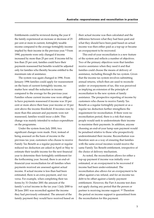Entitlements could be reviewed during the year if the family experienced an increase or decrease of 25 per cent or more in current, fortnightly taxable income compared to the average fortnightly income implied by their income in the previous year. 9 From 1990, payments were only changed if income increased by more than 25 per cent. If income fell by less than 25 per cent, families could have their payments reassessed but benefits would be adjusted only for families who thereby became entitled to the maximum rate of assistance.

The system was again changed in 1996. From January 1996 families could apply for reassessment on the basis of current fortnightly income, no matter how small the reduction in income compared to the average for the previous year. Families whose current income rose were obliged to have payments reassessed if income was 10 per cent or more above their base year income or 10 per cent above the income threshold. If incomes rose by more than this amount and payments were not reassessed, families would incur a debt. This change was mainly intended to reduce expenditure on the programme.

Under the system from July 2000, two significant changes were made. First, instead of being assessed on the basis of income in the previous tax year, customers who choose to receive Family Tax Benefit as a regular payment or regular reduced tax deduction are asked in April or May to estimate their taxable income for the next financial year to determine their fortnightly entitlement for the forthcoming year. Second, there is an end-offinancial-year reconciliation for all families when payments received are assessed against actual income. If actual income is less than had been estimated, there is an extra payment, and vice versa. For example, when completing their tax forms by 31 October 2001 the amount of the family's *actual* income in the tax year 1 July 2000 to 30 June 2001 was reconciled against the income they had previously estimated. The amount of the family payment they would have received based on their actual income was then calculated and the difference between what they had been paid and what they should have been paid based on actual income was then either paid as a top-up or became an overpayment to be recovered.

This end-of-year reconciliation is a new feature of the system and reflects a number of objectives. Two of the primary objectives were that families receive assistance when they need it and that families could choose the means of delivery of assistance, including through the tax system. Given that the income tax system involves submitting annual returns, which then are used to reconcile under- or overpayments of tax, this was perceived as implying an extension of the principle of reconciliation to the new system of family assistance. The prospective reporting of income by customers who choose to receive Family Tax Benefit as a regular fortnightly payment or as a regular tax deduction further strengthens the requirement for reconciliation. If there were no reconciliation period, there is a risk that many people would seek to underestimate their income to maximise their payments. In addition, anyone choosing an end-of-year lump sum payment would be penalised relative to those who prospectively underestimated their income. Reconciliation was therefore seen as a way of ensuring that families with the same *annual* incomes would receive the same Family Tax Benefit entitlement, irrespective of the choice of delivery mechanism.

As noted, the reconciliation allows for either a top-up payment if income was initially overestimated, or an overpayment to be recovered if income had been under-estimated. The reconciliation also allows for an overpayment to be offset against a tax refund, and for an income tax debt to be offset against a family payment entitlement. However, the Part A income test does not apply during any period that the person or partner is receiving income support. 10 Therefore the period on income support is quarantined from the reconciliation for this payment.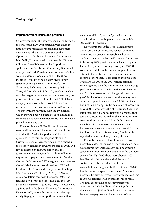#### **Implementation: issues and problems**

Controversy about the new system started towards the end of the 2000–2001 financial year when the time first approached for reconciling customers' entitlements. The issue was raised by the Opposition in the Senate Estimates Committee in May 2001 (Commonwealth of Australia, 2001), and following Press Releases by the Opposition spokesman on Family and Community Services, for example, entitled 'Zero tolerance for families', there was considerable media attention. Headlines included 'Families to be hit with order to pay' (*Sydney Morning Herald*, 28 June 2001), and 'Families to be hit with debt notices' (*Canberra Times*, 28 June 2001). In July 2001, just before what was then regarded as an important by-election, the government announced that the first A\$1,000 of all overpayments would be waived. The cost to revenue of this decision was around A\$357 million. The government narrowly won the by-election, which they had been expected to lose, although of course it is not possible to determine what role was played by this decision.

Even forgiving A\$1,000 did not, however, resolve all problems. The issue continued to be voiced in the Australian parliament, both in questions to the minister responsible and in Grievance Debates. Overpayments were raised in the election campaign towards the end of 2001, and it was asserted by the Opposition that the government was delaying the mail-out of letters requesting repayments to be made until after the election. In November 2001 the government was reelected. Media reports continued into 2002, with headlines like 'Thousands caught in welfare trap' *(The Australian*, 22 February 2002, p. 8), 'Family assistance letters sent with the words 10,000 SA families don't want to hear – give back the cash' (*Adelaide Advertiser*, 23 January 2002). The issue was again raised in the Senate Estimates Committee in February 2002, where the questioning takes up nearly 70 pages of transcript (Commonwealth of

Australia, 2002). Again, in April 2002 there have been headlines 'Family payments in crisis' (*The Australian*, 4 April 2002).

How significant is the issue? Media reports obviously are not necessarily reliable sources for estimating the scope of the problem, but the evidence given to the Senate Estimates Committee in February 2002 provides a more balanced picture. Under the system operating before July 2000, there were limited data on the number of people who advised of a notifiable event or an increase in income of more than 10 per cent on the base year. Typically, 140,000 to 150,000 working families receiving more than the minimum rate were being paid on a current year estimate (i.e. their incomes and/or circumstances had changed during the year). In the following year, after the new system came into operation, more than 800,000 families had notified a change in their estimate of income by May 2001 (Commonwealth of Australia, 2002). The latter includes all families reporting a change (not just those receiving more than the minimum rate) so is not directly comparable with the previous year. But it is nevertheless a very substantial increase and means that more than one-third of the 2 million families receiving Family Tax Benefits reported an income change during the year.

Probably the more relevant number is how many had a debt at the end of the year. Again there was a significant increase, as would be expected given the 'buffer' arrangements under the previous system. In 1999–2000, there were about 51,800 families with debts at the end of the year. In contrast, after the introduction of new reconciliation arrangements, it is estimated 670,000 families were overpaid – more than 12 times as many as the previous year. The waiver reduced this to 198,000 families with overpayments to repay.11 The total gross value of overpayments was estimated at A\$584 million; subtracting the cost of the waiver of A\$357 million, leaves a remaining level of overpayments to be recovered of around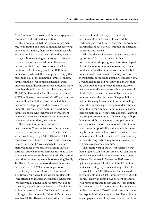A\$227 million. The recovery of these overpayments continued to attract media attention.

This also implies that the 'gross overpayment rate' was around one-third of all families receiving payments. Moreover, there are many families who are very unlikely to have been affected by income changes (those receiving income support benefits, those whose income stayed under the lower income threshold, and those who receive the minimum rate of Family Tax Benefit). If these families are excluded, then it appears to imply that more than half of the remaining families – that is, families in the lower to middle income ranges – underestimated their income and so received more than they should have. On the other hand, around 271,000 families received additional assistance of A\$279 million – an average of A\$1,028 per family – because they had initially overestimated their incomes. This top-up would not have occurred under the previous system. But if we add these families to those who incurred an overpayment then end-year reconciliation affected the family payments of around 940,000 families.

There were four groups affected by overpayments. The families most affected were those whose incomes were in the first income withdrawal range (e.g. A\$30,000 to A\$45,000 for a couple with two children), whose entitlements to Family Tax Benefit A were changed. These are mainly families at moderate to average levels of earnings, but where these earnings fluctuate or the second earner increases hours of work. The second most significant group were those receiving Family Tax Benefit B, where the second earner's income moved above A\$1,679, as a consequence of (re-)entering the labour force. The third most significant group were those whose entitlements were affected by maintenance income, where this was received as a lump sum (Commonwealth of Australia, 2002). Another factor is that families are entitled to receive Family Tax Benefit Part A for a child aged 16 or more only if the child's income is less than \$8,346. Therefore, the fourth group were

those who found that they were liable for overpayments when their child entered the workforce part-way through the year (the academic year finishes about half-way through the financial year for tax purposes).

Why did the level of overpayments increase so significantly? Part of the answer is that the previous system simply ignored a substantial part of what the new system treats as overpayments. But it also seems that families were more likely to underestimate their income than they were to overestimate, or indeed to get their estimates right. Given that families did not know in advance that the government would waive the first \$1,000 of overpayments, this was presumably not the result of calculation (or even more families may have underestimated their income). One possibility is that families may be over-cautious in estimating their future incomes, preferring to under-estimate rather than over-estimate. Families may be basing their estimate on last year's actual income, without factoring in rises over time. Alternatively, perhaps families need the money now or simply prefer to get the money now on the theory of a 'bird in the hand?' Another possibility is that family incomes may be more variable than is often considered, and in this context it can be noted that Australia is only now conducting its first longitudinal survey that will measure income dynamics.

The second year of the system suggested that there might be some improvement, but significant problems remained. Preliminary estimates given to a Senate Committee in November 2002 were that by that stage around 1 million of the 1.8 million families receiving payments had lodged their tax returns. Of these 336,000 families had incurred overpayments and 265,000 families were entitled to top-ups. This was around 33.4 per cent of families with debts, compared to just under 39 per cent in the previous year. Extrapolating to all families this implies that around 576,000 would be facing debts. Correspondingly, the number of families entitled to top-up payments would appear to have risen from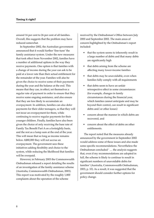around 16 per cent to 26 per cent of all families. Overall, this suggests that the problem may have reduced somewhat.

In September 2002, the Australian government announced that it would further 'fine-tune' the family assistance system. Under the new measures that took effect from November 2002, families have a number of additional options in the way they receive payments. One option is that families with a change of income during the year can ask to be paid at a lower rate than their actual entitlement for the remainder of the year. Families will also be given the choice to receive some of their payments during the year and the balance at the end. This means that they can, in effect, set themselves a regular rate of payment in order to ensure that they receive some ongoing assistance, and also ensure that they are less likely to accumulate an overpayment. In addition, families can also defer payments for their older teenagers, so that they will not incur an overpayment for them, while continuing to receive regular payments for their younger children. Finally, families have also been given the choice of only receiving the base rate of Family Tax Benefit Part A on a fortnightly basis, and the rest as a lump sum at the end of the year. This will mean that so long as income remains below A\$80,000 they will not accrue an overpayment. The government sees these initiatives adding flexibility and choice to the system, while reducing the likelihood that families will be overpaid.

However, in February 2003 the Commonwealth Ombudsman released a report detailing the results of an investigation of the famliy assistance scheme (Australia, Commonwealth Ombudsman, 2003). This report was motivated by the roughly 1,800 complaints about the operation of the scheme

received by the Ombudsman's Office between July 2000 and September 2002. The main areas of concern highlighted by the Ombudsman's report included:

- that the system seems to inherently result in a large number of debts and that many debts are significantly high
- that debts arising from the scheme are affecting many lower-income families
- that debts may be unavoidable, even when families fully comply with all requirements
- that debts seem to have an unfair retrospective effect in some circumstances (for example, changes in family circumstances during the financial year, which families cannot anticipate and may be beyond their control, can result in significant debts and/or other losses)
- concern about the manner in which debts are recovered, and
- concern about the effect of debts on other entitlements.

The report noted that the measures already announced by the government in September 2002 would address some of these issues and also made some specific recommendations. Nevertheless the Ombudsman concluded ' … the analysis suggests that, even if my recommendations are adopted in full, the scheme is likely to continue to result in significant numbers of unavoidable debts for families' (Australia, Commonwealth Ombudsman, 2003, p. 10). As a result, it was suggested that the government should consider further options for policy change.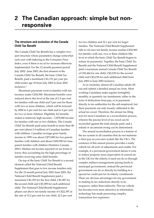#### **The structure and evolution of the Canada Child Tax Benefit**

The Canada Child Tax Benefit has a complex twopart structure whose parameters change somewhat each year with indexing to the Consumer Price Index, even if there is no *ad hoc* increase otherwise implemented. For the 12-month payment period July 2002– June 2003, the first element of the Canada Child Tax Benefit, the basic Child Tax Benefit, paid a maximum C\$1,151 per year per child under age 18 from July 2002 to June 2003 inclusive.1

Maximum payments went to families with net incomes under C\$32,960. Maximum benefits were reduced above this level at the rate of 2.5 per cent for families with one child and 5 per cent for those with two or more children, which will be lowered by 2004 to 2 per cent for one child and to 4 per cent for two or more children. Eligibility for benefits ended at relatively high incomes – C\$79,000 income for families with one or two children. The Canada Child Tax Benefit paid some benefit to more than 80 per cent (about 2.9 million) of Canadian families with children. Canadian average gross family income in 1999 was about C\$73,000 for two-parent families with children and about C\$30,500 for loneparent families with children (Statistics Canada, 2001). Median net income reported on tax forms is lower, thus accounting for the high percentage of families receiving some child benefits.

On top of the basic Child Tax Benefit is a second element called the National Child Benefit Supplement that goes to low income families only. For the 12-month period July 2002–June 2003, the National Child Benefit Supplement paid a maximum C\$1,293 for the first child, C\$1,087 for the second child and C\$1,009 for each additional child. The National Child Benefit Supplement phases out above net family income of C\$22,397 at the rate of 12.2 per cent for one child, 22.5 per cent

for two children and 32.1 per cent for larger families. The National Child Benefit Supplement falls to nil once net family income reaches C\$32,960 for families with one, two or three children (the level at which the basic Child Tax Benefit begins to reduce its payments). Together, the basic Child Tax Benefit and the National Child Benefit Supplement paid a maximum annual Canada Child Tax Benefit of C\$2,444 for one child, C\$2,238 for the second child and C\$2,239 for each additional child from July 2002 to June 2003 inclusive.

As in Australia, almost all Canadian adults fill out and submit a detailed annual tax form. Most working Canadians make regular fortnightly, monthly or quarterly tax instalments, either in the form of deductions from pay, or in payments directly to tax authorities for the self-employed, but these payments are only loosely calibrated to the actual tax owed. Therefore, the annual tax filing acts for most Canadians as a reconciliation process, wherein the precise level of tax owed can be reconciled against the total already paid, and a refund or an amount owing can be determined.

The annual reconciliation process is a feature of the tax system in all countries that do not maintain a strict pay-as-you-earn system like the UK's. The existence of this annual process provides a ready vehicle for all sorts of adjustments and credits. For example, if a provincial government deems it wise to reduce property taxes (equivalent of council tax in the UK) for the elderly, it need not do so through complex indirect arrangements paying funds to municipal governments, instead the provincial government can do so directly by building in a special tax credit just for its elderly constituents. There are obvious advantages for any government in making its tax reductions directly to its taxpayers, rather than indirectly. This tax vehicle has become even more attractive as information technology has made processing complex transactions less expensive.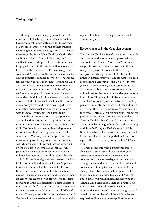Although there are many types of tax credits now built into the tax system in Canada, credits have been most importantly used for the payment of benefits to families on behalf of their children, beginning over two decades ago. In 1978, Canada introduced the Refundable Child Tax Credit. This credit was called 'refundable' because, unlike past credits, it was not simply subtracted from income tax payable but paid the full benefit as a 'negative tax' even if there was no or little tax owing. This was Canada's first use of the income tax system to deliver benefits to families too poor to owe income tax. However, parallel to the new Refundable Child Tax Credit the federal government continued to maintain a system of universal child benefits, as well as an exemption in the tax system for each dependent child. In addition, Canadian provinces also provided child-related benefits in their social assistance systems, and were discouraged from integrating their social assistance rate structures with the new Refundable Child Tax Credit.2

Over the next decade and a half, experience accumulated in administering a positive benefit through the income tax system until, in 1993, a new Child Tax Benefit payment replaced all previous major federal child benefit programmes. At the same time, a Working Income Supplement was introduced, payable only to low-income families with children and with earned income, modelled on the US Earned Income Tax Credit. As well, provincial social assistance continued to pay an independent non-integrated child-related benefit.

In 1998, the federal government restructured its Child Tax Benefit and Working Income Supplement into what is now called the Canada Child Tax Benefit, increasing the amount of the benefit and paying it regardless of employment status. Further, an accord was reached with provinces to integrate the Canada Child Tax Benefit into social assistance rates; thus for the first time Canada was attempting to begin developing a fully integrated child benefit system. The expectation is that as the Canada Child Tax Benefit is increased over time, it will eventually replace child benefits in the provincial social assistance system. 3

#### **Responsiveness in the Canadian system**

The Canada Child Tax Benefit is paid on a monthly basis, either in the form of a cheque or a direct electronic fund transfer. More than 70 per cent of recipients now have direct deposits and this is rising. The payment is made to the primary caregiver, which is presumed to be the mother unless indicated otherwise. The amount to be paid is determined according to the *family* net income (income of both parents, net of certain standard deductions such as pension contributions and union dues) for the previous calendar year reported in April tax filing time, 4 with the amount of the benefit set for July to June inclusive. The monthly payment is simply the annual entitlement divided by twelve. Thus, for example, tax returns must be filed by 30 April 2002, reporting annual income for January to December 2001 inclusive, and the Canada Child Tax Benefit payable is then adjusted accordingly beginning in July 2002 and continuing until June 2003. In July 2003, Canada Child Tax Benefit payable will be adjusted anew according to the income that has been reported by the end of April 2003 for the January to December 2002 tax year.

There are no mid-year adjustments due to changes in income *per se*; however, mid-year corrections are made for changes in family composition, such as marriage or common-law arrangements, or divorce or separation, which of course affects family income. Examples of other changes that attract immediate response include the birth, adoption or death of a child. 5 Out of approximately 2.9 million families receiving the Canada Child Tax Benefit, there are about 80,000 mid-year corrections due to change in marital status and about 600,000 mid-year changes to add or reduce the number of children. 6 Families are required to fill out a separate application form only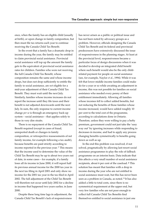once, when the family has an eligible child (usually at birth), or upon change in family composition, but then must file tax returns each year to continue receiving the Canada Child Tax Benefit.

In the event that a family has a dramatic drop in income during the year, the family may be entitled to claim provincial social assistance. Provincial social assistance will top up the amount the family gets to the equivalent of provincial social assistance rates for children. Families who were not receiving the full Canada Child Tax Benefit, whose composition remains the same and whose income drops, but does not drop sufficiently to entitle the family to social assistance, are *not* eligible for a mid-year adjustment of their Canada Child Tax Benefit. They must wait until the next July. Similarly, families whose income increases do not report the increase until they file taxes and their benefit is not adjusted downwards until the next July. In sum, the only response to current income change *per se* is through an emergency back-up system – social assistance – that applies solely to those in very dire straits.

There is no repayment of the Canada Child Tax Benefit required (except in cases of fraud, unreported death or changes in family composition, or retrospective reassessments of net family income, for example following a tax audit), because benefits are paid strictly according to income reported in the previous year. 7 This means that the income used to determine the value of the Child Tax Benefit may be up to about two years out of date, in some cases – for example, if a family loses all its income in June 2000, it will report half its previous annual income for the 2000 tax year in the next tax filing in April 2001 and only show no income for the 2001 tax year in the tax filed in April 2002. The full adjustment of the Child Tax Benefit will therefore not occur until July 2002 for a decline in income that happened two years earlier, in June 2000.

Despite these long time lags in adjustment, the Canada Child Tax Benefit's lack of responsiveness has never arisen as a public or political issue and has not been noted by advocacy groups as a problem. However, officials designing the Canada Child Tax Benefit and its federal and provincial predecessors have extensively discussed the issue of responsiveness in the planning stages. At least at the provincial level, responsiveness became a particular focus of design discussions when it was decided to develop an integrated child benefit where such benefit would also be the only childrelated payment for people on social assistance (see, for example, Naylor *et al*., 1994). While it was felt that lower middle income families could make do for a year or so while awaiting an adjustment in income, this was not possible for families on social assistance who needed every penny of their entitlement immediately. Allowing all families whose incomes fell to collect added benefits, but not reducing the benefits of those families whose income increased, would have added roughly 10 per cent to the total cost of the programme, according to calculations done in Ontario. Therefore, unless they were willing to pay a hefty premium, government could not just take the 'easy way out' by ignoring increases while responding to decreases in income, and had to apply any process changing benefits symmetrically to benefits going down as well as up.

In the end this problem was resolved, if not solved, pragmatically by allowing last-resort social assistance programmes to play the role of fallback programme on an interim basis. Data indicate that this affects a very small number of social assistance recipients, about 6 per cent of the caseload. 8 This solution has meant that families with a drop in income during the year who are not entitled to social assistance must wait, but this has never been seen as a problem in Canada, as noted. 9 It has also added a little to total costs, since there is no symmetrical requirement at the upper end, but very few families who are not poor enough to collect full Canada Child Tax Benefits find themselves entitled to social assistance in just one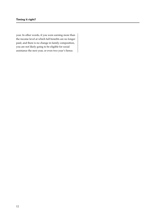year. In other words, if you were earning more than the income level at which full benefits are no longer paid, and there is no change in family composition, you are not likely going to be eligible for social assistance the next year, or even two year's hence.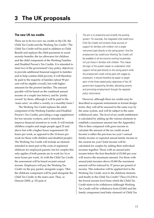#### **The new UK tax credits**

There are to be two new tax credits in the UK: the Child Tax Credit and the Working Tax Credit.1 The Child Tax Credit will be paid in addition to Child Benefit and replaces the child payments in social security benefits, the tax allowance for children, and the child component of the Working Families and Disabled Person's Tax Credits. It is intended to meet two of the government's key policy objectives: to provide additional financial support to families and to help combat child poverty. It will therefore be paid to the majority of families (about 90 per cent will be eligible overall), but with higher amounts for the poorest families. The amount payable will be based on the combined annual income of a couple (see below), and be 'jointly owned' by them, although it will be paid to the 'main carer,' on either a weekly or a monthly basis.<sup>2</sup>

The Working Tax Credit replaces the adult component of the Working Families and Disabled Person's Tax Credits, providing a wage supplement for low-income workers, and is intended to improve financial incentives to work. It will include childless couples and single people aged 25 and above but with a higher hours requirement (30 hours per week, as opposed to the 16 hours per week for those with children and disabled people). The Working Tax Credit will include an element intended to meet part of the costs of registered childcare for employed parents, but for couples this only applies if both parents are in work for 16 or more hours per week. As with the Child Tax Credit, the assessment will be based on joint annual income. Employers will pay the Working Tax Credit via the pay packet, alongside wages. 3 But the childcare component will be paid alongside the Child Tax Credit, to the main carer. Thus, as Duncan (2002, p. 25) puts it:

The aim is to streamline and simplify the existing system. For example, the integrated child credit [now Child Tax Credit] will combine three sources of support for families with children into a single instrument paid directly to the caring parent. And the employment tax credit [now Working Tax Credit] will be available to all low-income working households, not just those in families with children. This makes the logic of the system easier to understand: child support will be paid directly to the caring parent while the employment credit will be paid with wages by employers. It should therefore be easier to target each of the three stated policy objectives of the UK government (supporting families, alleviating poverty and promoting employment) through the separate policy instruments.

However, although these tax credits may be described as separate instruments in formal design terms, they will all be assessed in the same way by the same system, and will be subject to the same withdrawal rates. The level of tax credit entitlement is calculated by adding up the various elements to establish a maximum amount (see the Appendix). This is then compared with gross income to calculate the amount of the tax credit award. Income is either the previous tax year's annual family income or expected annual family income in the current tax year.4 Joint income will be calculated for couples by adding their individual incomes together. Those with an annual joint income below the first threshold of £5,060 per year will receive the maximum amount. For those with annual joint incomes above £5,060 the maximum amount will be reduced by 37 pence per pound of income. This reduction will be applied first to the Working Tax Credit, next to the childcare element, and finally to the Child Tax Credit.<sup>5</sup> Thus £13,230 is the lowest income level from which the Child Tax Credit starts to be withdrawn (although Working Tax Credit will be withdrawn from £5,060) and the family component (and baby element) of Child Tax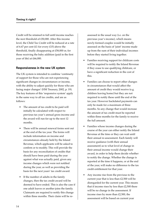Credit will be retained in full until income reaches the next threshold of £50,000. After this income level, the Child Tax Credit will be reduced at a rate of 6.67 per cent (£1 for every £15) above the threshold, finally disappearing at £58,000 or, for those receiving the baby addition (paid in the first year of life) at £66,000.

#### **Responsiveness in the new UK system**

The UK system is intended to combine 'continuity of support for those who are not experiencing significant changes in circumstances or income, with the ability to adjust quickly for those who are facing major changes' (HM Treasury, 2002, p. 19). The key features of this 'responsive system' apply in the same way to all tax credits, and are as follows:

- The amount of tax credit to be paid will initially be calculated with respect to previous tax year's annual gross income and the award will run for up to the next 12 months.
- There will be annual renewal forms sent out at the end of the tax year. The forms will include information on income and circumstances already held by the Inland Revenue, which applicants will be asked to confirm or to modify. This will provide the basis for any reconciliation of credits that should have been paid during the year against what was actually paid, given any income changes which were not notified during the year, as well as providing the basis for the next years' tax credit award.
- If the number of adults in the family changes, then the tax credit award will be deemed to have ended. This is also the case if one adult leaves or another joins the family. Claimants are required to notify this change within three months. Their claim will be re-

assessed in the usual way (i.e. on the previous year's income), which means newly-formed couples would be initially assessed on the basis of 'joint' income made up from the sum of their individual incomes before they started living together.

- Families receiving support for childcare costs will be required to notify the Inland Revenue if they cease to use qualifying childcare, or have a significant reduction in the cost of this.
- Families can choose to report other changes in circumstances that would affect the amount of credit they would receive (e.g. children leaving home) but they are not required to notify these until the end of the tax year. However backdated payments can only be made for a maximum of three months. So any change that would increase the amount of tax credit must be reported within three months for the family to receive the full amount.
- Families whose income changes during the course of the year can either notify the Inland Revenue at the time or they can wait until their annual re-assessment. Each family will receive guidance (with their annual assessment) as to what level of change in their annual income would change their award, in order to help them decide whether to notify the change. Whether the change is reported at the time it happens, or at the end of the year, will make no difference to the tax credit entitlement for that year.
- Any income rise from the previous to the current year that is less than £2,500 will be disregarded for the current year. This means that if income rises by less than £2,500 there will be no change in the assessment. If income rises by more than £2,500, the assessment will be based on current year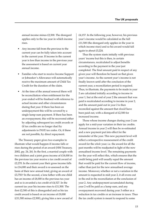annual income minus £2,500. The disregard applies only to the tax year in which income rises.

- Any income fall from the previous to the current year can be fully taken into account in the current year. If income in the current year is less than income in the previous year the assessment is based on current year annual income.
- Families who start to receive Income Support or Jobseeker's Allowance will automatically receive the maximum amount of Child Tax Credit for the duration of the claim.
- At the time of the annual renewal there will be reconciliation when entitlement for the year ended will be finalised with reference to actual income and other circumstances during that year. If there has been an underpayment this will be covered by a single lump-sum payment. If there has been an overpayment, this will be recovered either by adjusting subsequent tax credit awards or (if tax credits are no longer due) by adjustments to PAYE tax codes. Or, if these are not possible, by direct repayment.

The Treasury paper gives two examples to illustrate what would happen if income falls or rises during the period of an award (HM Treasury, 2002, pp. 24, 26). In the first, a married couple with two children and a joint gross income of £18,000 in the previous tax year receive a tax credit award of £2,270. In the current year their gross income falls to £14,000 and their award is re-assessed on the basis of their new annual total, giving an award of £3,750.6 In the second, a lone father with one child has an income of £8,000 in the previous tax year and so is awarded a tax credit of £4,527. In the current tax year his income rises to £11,500. The first £2,500 of this is disregarded and so his tax credit award is based on an income of £9,000 (£11,500 minus £2,500), giving him a new award of £4,157. In the following year, however, his previous year's income would be calculated as the full £11,500 (the disregard only applies in the year in which income rises) and so his award would fall again to about £3,224.

Thus the system starts initially with previous years' income but this is then, in certain circumstances, recalculated to adjust benefits according to the payment in the year just completed. The final amount paid in respect of any given year will therefore be based on that given year's income. As the current year's income is not finally known until after the conclusion of the current year, a reconciliation period is required. Thus, to illustrate, the payments to be made in year 2 are calculated initially according to income in year 1, but at the end of year 2 the amount that was paid is recalculated according to income in year 2, and the amount paid out in year 2 is then reconciled against the amount that *should* have been paid out, with a disregard of £2,500 for increased income.

Those whose income changes during year 2 can apply for a mid-year variation in their tax credits. Annual income in year 2 will then be re-estimated and a new payment put into effect for the remainder of the year. This new payment level will reflect a retrospective reassessment of the credit award for the *whole* year; i.e. the award for all the past months will be readjusted in light of the new annualised income level. The remaining payments for the year will reflect this, which ensures that the credit being paid will usually equal the amount that would be paid for the current flow of income, rather than just for the new annualised average income. Moreover, whether or not a variation in the amount is requested in mid-year 2, it all evens out in the end in the reconciliation at the conclusion of year 2. Any underpayment accumulated during year 2 will be paid as a lump sum, and any overpayment recovered during year 3 either as a reduction in tax credits or an increase in taxes. Thus the tax credit system is meant to respond to some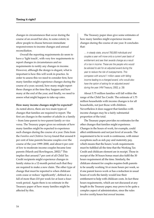changes in circumstances that occur during the course of an award but also, to some extent, to allow people to choose between immediate responsiveness to income changes and annual reconciliation.

Overall the reporting requirements do seem to have a 'light touch', with very few requirements to report changes in circumstances and no requirements to notify any changes in income. However, although the design is elegant, what is important is how this will work in practice. In order to assess this we need to consider first, how many families might experience changes during the course of a year; second, how many might report these changes at the time they happen and how many at the end of the year; and finally, we need to assess what might happen to take-up rates.

#### **How many income changes might be expected?**

As noted above, there are two main types of changes that families are required to report. The first are changes in the number of adults in a family – from lone-parent to two-parent family or vice versa. The Treasury paper gives no estimate of how many families might be expected to experience such changes during the course of a year. Data from the *Families and Children Survey* found that around 8 per cent of lone parents became couples over the course of the year 1999–2000, and about 6 per cent of low to moderate income couples became lone parents (Marsh and Rowlingson, 2002).7 This implies that around 7 per cent of all Child Tax Credit recipients might experience changes in family status in a 12-month period such that they are required to make a new claim. The other type of change that must be reported is when childcare costs cease or reduce 'significantly', defined as a fall of more than £10 per week for at least a fourweek period. Again there is no estimate in the Treasury paper of how many families might be affected by this.

The Treasury paper does give some estimates of how many families might experience income changes during the course of one year. It concludes that:

… in steady state, around 750,000 individuals and couples a year will move onto a current year basis of entitlement and see their awards change as a result of a rise in income. These are the people who would be advised to ask for an adjusted award during the year to reduce the risk of overpayments. This compares with around 1 million cases with falling income leading to a changed award, who would also have the option of asking for an adjusted award during the year. (HM Treasury, 2002, p. 28)

About 5.75 million families will fall within the range of the Child Tax Credit. The estimate of 1.75 million households with income changes is for all households, not just those with children. Nevertheless it does suggest that families with income changes may be a fairly substantial proportion of the total.

The Treasury paper provides no estimates for the other changes that families might experience. Changes in the hours of work, for example, could affect entitlements and not just level of awards. The requirement to be in work is continuous, with minor exceptions such as sick pay and maternity pay, which means that the hours/work requirements must be fulfilled all the time that the Working Tax Credit and childcare element are in receipt. Those in receipt of the 30 hours bonus must also fulfil the 30 hours requirement all the time. Similarly, the childcare element for couples requires both parents to be usually working 16 or more hours per week, so if one parent leaves work or has a reduction in usual hours of work the family would lose their entitlement to help with childcare costs. In fact these hours requirements, which are not discussed at any length in the Treasury paper, may prove to be quite a complex aspect of administration, since the rules involve *weekly* hours but *annual* income.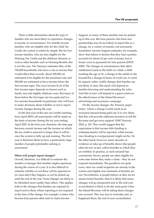There is little information about the type of families who are most likely to experience changes in income or circumstances. For middle-income families, who are eligible only for the Child Tax Credit, the system is relatively simple. But for lowincome families, who are also eligible for the Working Tax Credit and the childcare element, as well as other benefits such as Housing Benefit, this is not the case. The Treasury estimates that, of the 750,000 households who have a rise in income that would affect their awards, about 100,000 are estimated to be eligible for the maximum rate and 500,000 are estimated to have income below the first income taper. The exact income level of the first income taper depends on factors such as family size and eligible childcare costs. But many of those below the first taper are low-paid and it is low-income households in particular who will have to make decisions about whether or not to report income changes during the year.

In the first year of the new tax credits (starting from April 2003), all assessments will be made on the basis of income during the tax year ending April 2002. In the first year, therefore, the time gap between current income and the income on which the tax credit is assessed is longer than it will be once the system is fully up and running. The first year is therefore likely to have a particularly large number of people potentially seeking reassessment.

#### **When will people report changes?**

Overall, therefore, it is difficult to estimate the number of changes that families might experience during the course of a year. It is also difficult to estimate whether or not these will be reported as (or soon after) they happen, or not be picked up until the end of the year. Some changes are likely to be identified more readily than others. This applies both to the changes that families are required to report and to those where reporting is not required at the time of the change. For example, women who become lone parents often start to claim Income

Support, so many of these families may be picked up in this way. But lone parents who form new partnerships may be less likely to report this as a change, for a variety of reasons, not necessarily fraudulent. Income Support estimates, for example, show that failure to declare that they had a partner accounts for about 42 per cent of money lost to fraud/error in payments for lone parents (DWP, 2000). The changes in circumstances that affect entitlement (such as the birth of a child, a child reaching the age of 16, a change in the adults in the household, a change in hours of work) are, it could be argued, rather visible changes that families are not likely to miss. But much will depend on families knowing and understanding the rules. And this in turn will depend to a great extent on the effectiveness of the Inland Revenue's advertising and awareness campaign.

On the income changes, the Treasury paper states, 'where a change would result in an increased amount being paid out, it is very likely that this will provide sufficient incentive to tell the Revenue and get extra support' (HM Treasury, 2002, p. 20). This would suggest that the expectation is that income falls (leading to underpayments) will be reported, while income rises (leading to overpayments) might not be. On the other hand, however, many decades of evidence on take-up of benefits shows that people often do not, in fact, collect benefits to which they are entitled. In practice, as such research has consistently shown, people are often eligible for some time before they make a claim – they do not respond immediately. The parallel is not quite exact, since tax credit recipients are already in the system and eligible non-claimants of benefits are not. Nevertheless, if people behave as they do for means-tested benefits, then it is likely that many changes will go unreported and so the end-year reconciliation is likely to be the main point when the Inland Revenue will be taking these changes into account. This was true in Australia and, as happened there, the end of year reconciliation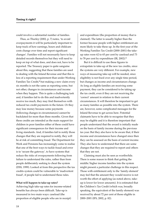could involve a substantial number of families.

Thus, as Thurley (2002, p. 7) notes, 'to avoid overpayments it will be particularly important to keep track of how earnings, hours and childcare costs change over time and report significant changes'. Families will not necessarily have to keep detailed records themselves but they will need to keep on top of what does, and does not, have to be reported. The Treasury paper is quite sanguine about this, suggesting that these families are used to dealing with the Inland Revenue and that this is less of a reporting requirement than under Working Families Tax Credit,<sup>8</sup> but making a new claim every six months is not the same as reporting some, but not other, changes in circumstances and income when they happen. This is quite a challenging task and, if families fail to do this and inadvertently receive too much, they may find themselves with reduced tax credit payments in the future. Or they may lose money because some payments (following changes in circumstances) cannot be backdated for more than three months. Given that these credits are intended as the main support for children in poor families either of these could have significant consequences for their income and living standards. And, if families fail to notify those changes that they are required to notify, they will be at risk of committing fraud. The Department for Work and Pensions has increasingly come to realise that one of the best ways to tackle fraud and error is to 'secure the gateway', to have systems that reduce the risks of overpayments following from failure to understand the rules, rather than from people deliberately seeking to cheat the system (DSS, 1999). Looked at from this perspective the tax credits system could be vulnerable to 'inadvertent fraud', if people fail to understand these rules.

#### **What will happen to take-up rates?**

Achieving high take-up rates for income-related benefits has always been difficult. Take-up is measured in two main ways: caseload (the proportion of eligible people who are in receipt) and expenditure (the proportion of money that is claimed). The latter is usually higher than the former because people with higher entitlement are more likely to take these up. In the first year of the Working Families Tax Credit (2000–2001) the takeup rates were 62 to 65 per cent by caseload and 73 to 78 per cent by expenditure (IR, 2002).9

But it is difficult to use these figures to extrapolate to take-up of the new tax credits, since the systems are very different. For example, new ways of measuring take-up will be needed, since eligibility is not fixed over any single time period, but changes as income and circumstances change. As long as eligible families are receiving some payment, they can be considered to be taking up the tax credit, even if they are not receiving the 'correct' amount in relation to their current circumstances. It will therefore be important to get as many families as possible into the system. There are, however, some complicated messages for the Inland Revenue to get across here. Potential claimants have to be able to recognise that they may be eligible and it is therefore important that people understand that the award is initially made on the basis of family income during the previous tax year. But they also have to be aware that, if their income and circumstances have changed since then they can be assessed on the basis of current income. They also have to understand that there are some changes that they are required to report and others that they are not.

Claiming must also be seen as worthwhile. There is some reason to think that getting the middle/higher income families into the system might present a particular challenge in this respect. Those with entitlement only to the 'family element' may feel that the amount they would receive is not worth the effort of applying (as noted above, takeup is lower for lower amounts). It is estimated that the Children's Tax Credit (which was, broadly speaking, the equivalent of the family element) was received by about 72 per cent of those eligible in 2000–2001 (IFS, 2002, p. 82).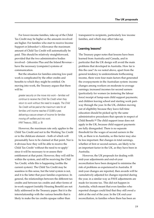For lower-income families, take-up of the Child Tax Credit may be higher as the amounts involved are higher. For families who start to receive Income Support or Jobseeker's Allowance the maximum amount of Child Tax Credit will automatically be paid. This should be relatively straightforward, provided that the two administrative bodies involved – Jobcentre Plus and the Inland Revenue – have the necessary (computer) systems of communication.

But the situation for families entering low-paid work is complicated by the other credits and benefits to which they might be entitled. On moving into work, the Treasury argues that there will be:

greater security on the move into work – families will continue to receive the Child Tax Credit when they return to work without the need to re-apply. The Child Tax Credit will be paid at the maximum rate for all families until income reaches £13,000 a year, delivering a secure stream of income for families moving off welfare and into work. (HM Treasury, 2002, p. 9)

However, the maximum rate only applies to the Child Tax Credit and not to the Working Tax Credit or to the childcare element – both of which will presumably have to be claimed at that point. Nor is it obvious how they will be able to receive the Child Tax Credit 'without the need to re-apply' since it will be necessary to re-assess their entitlement at that point. However, they will still be within the system, and still be receiving the Chid Tax Credit, while this is happening (unlike the current system). The Child Tax Credit may be seamless in this sense, but the total system is not, and it is the latter that poor families experience. In general, the relationships between the different tax credits and between tax credits and other forms of in-work support (notably Housing Benefit) are not fully addressed in the Treasury paper. But it is the interrelationship with the various benefits that is likely to make the tax credits opaque rather than

transparent to recipients, particularly low income families, and which may affect take-up.

#### **Learning lessons?**

The Treasury paper notes that lessons have been learned from Australia and Canada, and in particular that the UK design will avoid the main problems that developed in Australia. How far is this the case? As we noted above, apart from the general tendency to underestimate forthcoming income, there were four main factors that generated the overpayments in the Australian system: income changes among workers on moderate to average earnings; increased incomes for second earners (particularly for women (re-)entering the labour force) receipt of lump-sum child support payments; and children leaving school and starting work partway through the year. In the UK, children moving out of eligibility because they leave full-time education should be picked up by the same administrative procedures that operate in respect of Child Benefit.10 The child support issue does not apply in the UK, because child support payments are fully disregarded. There is no separate threshold for the wages of second earners in the UK, as there is in Australia, so this factor may also be less important. But changes in total earnings, whether of first or second earners, are likely to be an important factor in the UK, as they have been in Australia.

However, the UK proposals for dealing with mid-year adjustments and end-of-year reconciliation have been designed to minimise the risk of problems as experienced in Australia. If mid-year changes are reported, then awards will be cumulatively adjusted for changes reported during the year, in a similar way as PAYE adjustments are made for income tax. This did not happen in Australia, which meant that even families who reported changes could find that they still owed a debt at the end of the year. In the UK end-year reconciliation, in families where there has been an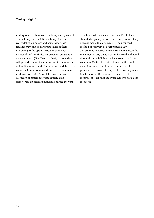underpayment, there will be a lump-sum payment – something that the UK benefits system has not really delivered before and something which families may find of particular value in their budgeting. If the opposite occurs, the £2,500 disregard will 'minimise the scope for substantial overpayments' (HM Treasury, 2002, p. 29) and so will provide a significant reduction in the number of families who would otherwise face a 'debt' in the reconciliation process, resulting in a reduction in next year's credits. As well, because this is a disregard, it affects everyone equally who experiences an increase in income during the year,

even those whose increase exceeds £2,500. This should also greatly reduce the average value of any overpayments that are made.11 The proposed method of recovery of overpayments (by adjustments to subsequent awards) will spread the repayment of any debts that are incurred and avoid the single large bill that has been so unpopular in Australia. On the downside, however, this could mean that, when families have deductions for previous overpayments they will receive payments that bear very little relation to their current incomes, at least until the overpayments have been recovered.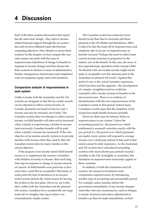Each of the three systems discussed in this report has the same basic design – they deliver incomerelated financial support through the tax system – but each involves different trade-offs between competing objectives. How should we assess these systems? In this chapter, we first compare the way each country has dealt with the issue of responsiveness (timeliness of change in benefits in response to income change) and then discuss the three systems in relation to issues of administrative burden; transparency, intrusiveness and compliance costs for recipients; equity; and work incentives.

#### **Comparative analysis of responsiveness in each system**

Unlike Canada, both the Australian and the UK systems are designed so that the tax credits awards can be adjusted to reflect current income. In Canada, payments are based on last tax year's income and may be seriously out of date. The Canadian system does not attempt to reflect current income, so child benefits will often not be increased when a family is experiencing a decline in income (and conversely Canadian benefits will be paid when a family's income has increased). If the core objective of an income security system is to provide families with income when they need it, then the Canadian system fails for many families in this central objective.

If the purpose of an income-tested child benefit system is to supplement the incomes of families with children inversely to income, then such long time lags in response to change in income must be of concern. If child benefits were paid four or five years later, could this be acceptable? Obviously, at some point the lack of timeliness in an incometested system defeats the whole reason for having the system in the first place. However, up to this time, unlike both the Australian and the planned UK system, Canadians have accepted the one large trade-off of a lengthy time lag to achieve an extraordinarily simple system.

The Canadian system has relatively lower benefit levels than that in Australia and those planned in the UK (Battle and Mendelson, 2001). Could it be that the trade-off of responsiveness and simplicity tips in favour of responsiveness as benefits increase? Perhaps the need to reflect more current income increases in proportion to the relative size of the benefit. In this case, the more or less unproblematic operation of the Canada Child Tax Benefit with out-of-date income might not be quite so acceptable were the amounts paid at the Australian or planned UK levels.1 Against this point of view is the actual Canadian experience, which has been just the opposite – the development of a simple, straightforward tax credit has coincided with a steady increase in benefits in the last several years. There is no evidence of dissatisfaction with the non-responsiveness of the Canadian system in that period. Indeed many Canadians would argue that the simplicity of the system has made benefit increases possible.

However, there may be intrinsic limits on responsiveness in any system. Unless the accounting period (i.e. the period over which entitlement is assessed) coincides exactly with the pay period (i.e. the period over which payments are made), every system will respond to average income over a multi-pay period of time and to that extent cannot be fully responsive. As the Australian and UK systems have annualised accounting systems with much shorter pay periods (weekly/ monthly in the UK, fortnightly in Australia), this limitation on responsiveness necessarily applies in these countries.

In addition, in both the Australian and UK systems, the annual reconciliation must compromise responsiveness, by introducing another type of accounting and accountable period. For example, unless families inform the government immediately of any income changes (and other relevant circumstances, such as changes in family structure) and unless adjustments to benefits can then be made immediately, revised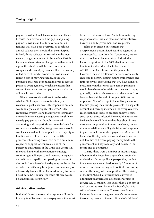payments will not match current income. This is because the unavoidable time gap in adjusting payments will mean that for a certain period families will have been overpaid, so to achieve annual balance they should then be underpaid. Indeed, this is reflected in Australia in the most recent changes announced in September 2002. If income or circumstances change more than once in a year, the situation will become even more complex and current payments will never precisely reflect current family incomes, but will instead reflect a sort of moving average. In the UK, payments may also be reduced in order to recover previous overpayments, which also means that current income and current payments may be out of line with each other.

Given these considerations it can be asked whether 'full responsiveness' is actually a reasonable goal since any fully responsive system would likely also be highly intrusive. A fully responsive system is one that involves fortnightly or weekly income testing alongside fortnightly or weekly pay periods. Although shortened accounting and pay periods are often the basis for social assistance benefits, few governments would want such a system to be applied to the majority of families with children. Indeed, for the UK government, moving away from such a system in respect of support for children is one of the perceived advantages of the Child Tax Credit. On the other hand, with information technology continuing to fall in price and increase in capacity, and with cash rapidly disappearing in favour of electronic funds transfer, the day may not be too far off when benefits may be adjusted automatically on a bi-weekly basis without the need for any forms to be submitted. Of course, the trade-off here would be a massive loss of privacy.

#### **Administrative burden**

Both the UK and the Australian system will result in many families receiving overpayments that must be recovered in some form. Aside from reducing responsiveness, this also places an administrative burden on both government and recipients.

It has been argued in Australia that overpayments accumulated could be regarded as an interest-free loan from the Government, rather than a problem to be minimised. Indeed, the Labour opposition in the 2001 election proposed that families should be able to borrow up to A\$1,000 from their future family payments. However, there is a difference between consciously choosing to borrow against future entitlements, and retrospectively discovering that you have done so. Presumably in the former case, family payments would have been reduced during the year to repay gradually the funds borrowed and there would not be a problem at the end of the year. With current unplanned 'loans', except in the unlikely event of families placing their family payments in a separate account and earning income on the overpayments, reconciliation is likely to produce an unwelcome surprise for those affected. Nor would it appear to be desirable to tell families that they should treat the system as providing interest-free loans, unless that was a deliberate policy decision, and a system in place to make monthly repayments. Moreover, at the end of the day, whether warned in advance or not, families still resent paying money back to the government and say so loudly and clearly to the media and to politicians.

Clearly, there were a number of disadvantages inherent in the Australian approach as originally undertaken. From a political perspective, the fact that a new system can lead to nearly 12 months of negative media reporting and political controversy can hardly be regarded as a positive. The waiving of the first A\$1,000 of overpayments involved additional unanticipated direct expenditures of around A\$319 million. This is less than 3 per cent of total expenditure on Family Tax Benefit, but it is still a substantial amount. The cost also does not include advertising the government's response to the overpayments, or the recruitment of additional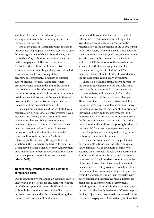staff to deal with the reconciliation process, although these would be far less significant than the cost of the waiver.

One of the goals of Australian policy makers in introducing the prospective income test was to give families a great deal of choice about the way they receive benefits, both in respect of frequency and method of payment.2 The previous system in Australia did not allow families to receive additional assistance if they initially overestimated their income, so it could not equitably accommodate prospective attempts to estimate current income. The new Australian system provides reconciliation at the end of the year so that no matter how benefits are paid – whether through the tax system, as a lump sum or in regular instalments – it all comes out the same in the end (assuming there is no waiver and ignoring the exclusion of time on social assistance).

Like Australia, Canada and the UK both have a reconciliation period. Since all three systems have a reconciliation period, all can provide choice of payment mechanism. What is not known is whether recipients particularly value this choice over payment method and timing. So far, early indications are that few families choose to take their benefits as a lump sum in Australia. Interestingly, this is exactly the opposite to the situation in the US, where the Earned Income Tax Credit may be taken either as a lump-sum payment or as an addition to regular paycheques, but 99 per cent of recipients choose a lump-sum benefit. (Meyer, 2001)

#### **Transparency, intrusiveness and customer compliance costs**

Due to its simplicity, the Canadian system is easy to understand and it is easy for any recipient to figure out the basis upon which their child benefit is paid. Although the situation in Australia will no doubt improve over time and with some continuing finetuning, it will remain a difficult system to

understand. In Australia, there are two sets of calculations to comprehend: the setting of the award based on prospective income and the reconciliation based on income in the year just past. In the UK system, there will also be a reconciliation based on immediate past year's income, with initial awards based on the previous year's income. As well, in the UK the amount of the award can be adjusted to reflect an overpayment and the reconciliation may be affected by the £2,500 disregard. This will make it difficult to understand the amount of the award at any given time.

There is also a high administrative burden for the families in Australia and the UK, who must keep records of income and circumstances, and changes in these, and be aware of often quite complex rules about the reporting of changes. These compliance costs may be significant. For example, the Australian system is more intrusive for families in respect of the amount of information they need to provide to the government (and therefore also has additional administrative costs for the government). Associated with this is the possibility that the additional reporting burden and the potential for accruing overpayments may reduce the public acceptability of the programme, both for recipients and for others.

One view in Australia is that the problem of overpayments is transitory and after a couple of years, families will be able more accurately to estimate their incomes. Indeed, the Department of Family and Community Services and Centrelink have been working intensively to remind families of the need to keep their income estimates up to date and are providing assistance to help avoid an overpayment. A continuing strategy is in place to remind customers to update their estimates with every contact and through the media. Letters are being sent to customers with overpayments including information to help them estimate their income, and the Family Assistance Office is helping families adjust their income estimates to reduce the chance of overpayment. Alternatively, families that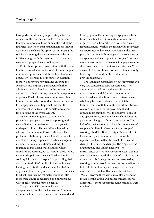have particular difficulty in providing a forward estimate of their income are able to claim their family assistance as a lump sum at the end of the financial year, when their actual income is known. Customers also have the option of minimising the risk by estimating their income towards the top of its likely range with the assurance that they can receive a top-up at the end of the year.

While this approach is consistent with the view that full reconciliation is desirable, to some degree it relies on optimism about the ability of families accurately to foresee their incomes. In addition, there will always be new families entering the system. It also implies a permanently higher administrative burden, both on the government and on individual families, than under the previous approach. Finally, it assumes a rather rosy view of human nature. Why not underestimate income, get higher payments and hope that this year the government will, despite its denials, once again forgive some of the overpayment?

An alternative might be to maintain the principle of prospective income reporting with reconciliation, but make sure that everyone is underpaid initially. This could be achieved by adding a 'buffer amount' to all estimates. The problem with this approach is that it contradicts the objective of being responsive to actual changes in income. It also restricts choice, and may be regarded as penalising those families whose estimates are accurate, not to mention those whose incomes drop during the year. Further, families could quickly learn to respond by providing their own 'counter-buffer' implicit in their estimates. Having said this, it could also be noted that the approach of providing intensive advice to families to adjust their income estimates might be little more than a more complicated and burdensome way of achieving the same objective.

The planned UK system will also have overpayments, but the UK has learned from the experience in Australia: through the disregard and through gradually deducting overpayments from future benefits, the UK hopes to minimise the negative effects. Ironically, this is at a sacrifice of responsiveness, which is the reason why the system was permitted to have overpayments in the first place. Is a system with retrospective recollection of overpayments due to a previous tax year's income more or less responsive than one that pays from the start according to the previous year's income? The answer to this question is not self-evident and only time, experience and careful evaluation will provide an answer.

The Canadian system has no overpayments and very low compliance costs for recipients. The amount to be paid during the year is known and easy to understand. Monthly cheques once established are reliable and do not often change, in what may be perceived as an unpredictable fashion, from month to month. The administrative costs are low, both for the government and especially for families who do not have to fill out any special forms, except once in a child's lifetime (excluding changes in family composition). This lack of intrusiveness may reflect the preferences of recipient families. In Canada, a focus group of working Child Tax Benefit recipients was asked if they would prefer a non-intrusive monthly reporting system so that the benefit level could change if their income changes. The response was unanimously and loudly negative. The intrusiveness of a more responsive system was not seen as remotely worth the trade-off. At least to the extent that this focus group was representative, working families would rather risk doing without a full child benefit for a year, than put up with a more intrusive system (Battle and Mendelson, 1997). However, these views may also depend on the size of the award and people might respond differently if more substantial sums of money were involved.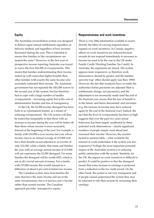#### **Equity**

The Australian reconciliation system was designed to deliver equal annual entitlements regardless of delivery method, and regardless of how incomes fluctuated during the year. This is intended to ensure that families in like circumstances are treated the same.3 However, in the first year of prospective income reporting Australia was forced to waive the first A\$1,000 of overpayments. This means that families underestimating their income ended up with somewhat higher benefits than other families with exactly the same income who accurately estimated their income. The Australian government has not repeated the A\$1,000 waiver in the second year of the system, but has therefore had to cope with a large number of smaller overpayments – increasing equity but at the cost of administrative burden and loss of transparency.

In the UK, the £2,500 income disregard has been built in as a permanent feature, as a means of reducing overpayments. The UK system will thus be somewhat inequitable in that those with an increase in income during the year will be better off than those whose income is more accurately forecast at the beginning of the year. For example, a family with £10,000-a-year income last year whose income rises to an annual average of £15,000 will have their benefit award adjusted to an income of only £12,500, while a family that starts and finishes the year with an average annual income of £15,000 will not experience the £2,500 disregard. For many families the disregard will be worth £925, which is not at all a trivial amount of money. For a family with £15,000 income this would amount to a difference of about 6 per cent in before-tax income.

The Canadian system does treat families the same that have the same income and are in the same circumstances, but it is last tax year's income rather than current income. The Canadian approach provides 'retrospective equity.'

#### **Responsiveness and work incentives**

There is very little information available to assess directly the effect of varying responsiveness regimes on work incentives. In Canada, negative effects on work incentives are reduced because awards do not respond immediately to increases in income (as used to be the case in the UK under Family Credit/Working Families Tax Credit). In Australia, the arguments are mixed. The system appears more responsive, so therefore work disincentives should be greater, and the familiar 'poverty trap' effect should apply (see Barr, 1998). However, the fact that recipients have to notify the authorities before payments are adjusted (that is, entitlements change, not payments), and the adjustment is not necessarily made until the end of the financial year, means that the loss of benefit is: in the future, and hence discounted; and uncertain (e.g. the increase in income may have reduced again by the end of the financial year). Indeed, the fact that the level of overpayments has been so high suggests that over the past two years actual behaviour has been largely unaffected by these potential work disincentives – clearly significant numbers of people simply went ahead and increased their income. However, the counterfactual is unobservable – what would be the amount of work undertaken if the system was less responsive? Perhaps the most important potential impact of the Australian system is in reducing public satisfaction with the system. Similarly, for the UK, the impact on work incentives is difficult to predict. It could be positive in that the disregard means that some increase in earnings is protected from a reduction in the tax credit award. On the other hand, the system is not very transparent and if people cannot understand the system they may be reluctant to risk their awards by increasing their earnings.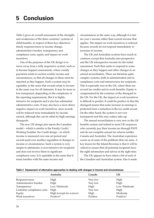Table 2 gives an overall assessment of the strengths and weaknesses of the three countries' systems of child benefits, in respect of these key objectives: timely responsiveness to income change, administrative burden, transparency and compliance costs, equity and impact on work incentives.

One of the purposes of the UK design is to move away from a fully responsive system, such as in Income Support assessments, where weekly payments relate to current weekly income and circumstances, so that all changes in these must be reported as they happen. Such a system may be equitable, in the sense that awards relate to income in the same way for all claimants. It may be more or less transparent, depending on the complexity of the reporting requirements. But it is highly intrusive for recipients and it also has substantial administrative costs. It may also have a more direct negative impact on work incentives, since awards will be reduced more immediately by income earned, although this can be offset by high earnings disregards.

The new UK design also rejects the Canadian model – which is similar to the Family Credit/ Working Families Tax Credit design – in which income is measured over one set period and awards paid over another, regardless of changes in income or circumstances. Such a system is very simple to administer, is non-intrusive for recipients and does not involve them in significant compliance costs. It is equitable in the sense that it treats families with the same income and

circumstances in the same way, although it is last tax year's income rather than current income that applies. The impact on work incentives is reduced because awards do not respond immediately to increases in income.

The UK and Australian systems have much in common, except that Australia uses prospective and the UK retrospective income for the initial assessment. Each then seeks to respond to some changes as they happen and other changes in an annual reconciliation. These are therefore quite complex systems, both in administration and in compliance costs and intrusiveness for recipients. This is especially true in the UK, where there are several tax credits and in-work benefits. Equity is compromised by the existence of the disregard in the UK. For the UK, the impact on work incentives is difficult to predict. It could be positive in that the disregard means that some increase in earnings is protected from a reduction in the tax credit award. On the other hand, the system is not very transparent and this may reduce take-up.

The annual reconciliation is very new to the UK benefits system and indeed to most UK taxpayers who currently pay their income tax through PAYE and do not complete annual tax returns (unlike Canada and Australia). The Australian experience warns us of some of the problems that can arise. A key lesson for the Inland Revenue is that it will be critical to ensure that all potential recipients have the right information and advice at the right time.

The UK appears to have taken a bit of each of the Canadian and Australian system. Has it made

|                           | Australia                | Canada   | UK           |
|---------------------------|--------------------------|----------|--------------|
| Responsiveness            | High                     | Very low | High         |
| Administrative burden     | High                     | Very low | High         |
| Transparency              | Low/Moderate             | High     | Low/Moderate |
| Customer compliance costs | High                     | Very low | High         |
| Equity                    | High (except for waiver) | High     | Moderate     |
| Work incentives           | Positive?                | Positive | Positive?    |

#### **Table 2 Assessment of alternative approaches to dealing with changes in income and circumstances**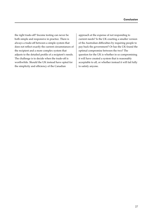the right trade-off? Income testing can never be both simple and responsive in practice. There is always a trade-off between a simple system that does not reflect exactly the current circumstances of the recipient and a more complex system that adjusts to the detailed profile of a recipient's needs. The challenge is to decide when the trade-off is worthwhile. Should the UK instead have opted for the simplicity and efficiency of the Canadian

approach at the expense of not responding to current needs? Is the UK courting a smaller version of the Australian difficulties by requiring people to pay back the government? Or has the UK found the optimal compromise between the two? The question for the UK is whether in so compromising it will have created a system that is reasonably acceptable to all, or whether instead it will fail fully to satisfy anyone.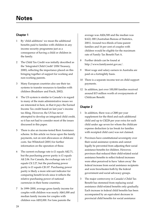#### **Chapter 1**

- 1 By 'child additions' we mean the additional benefits paid to families with children in any income security programme just as a consequence of having a child or children in the family.
- 2 The Child Tax Credit was initially described as the 'Integrated Child Credit' (HM Treasury, 2000), reflecting the importance placed on this bringing together of support for working and non-working parents.
- 3 Many European countries also use their tax systems to transfer resources to families with children (Bradshaw and Finch, 2002).
- The US system is similar to Canada's in regard to many of the main administrative issues we are interested in here, in that it pays the Earned Income Tax credit based on last year's income tax filing. However, the US has never attempted to develop an integrated child credit, so it has not had to consider most of the issues discussed in this paper.
- 5 There is also an income-tested Rent Assistance scheme. In this article we focus upon the family payments, not on rent allowances or childcare costs. See Whiteford (2001) for further information on the operation of these.
- 6 The current exchange rate is £1 equals A\$2.71, but the purchasing power parity is £1 equals A\$ 2.06. For Canada, the exchange rate is £1 equals C\$ 2.27, but the purchasing power parity is £1 equals C\$1.87. Purchasing power parity is likely a more relevant indicator for comparing benefit levels since it reflects the relative purchasing power of national currencies in their home countries.
- 7 In 1999–2000, average gross family income for couples with children was nearly A\$61,000 and median family income for couples with children was A\$52,000. For lone parents the

average was A\$26,500 and the median was \$A22, 000 (Australian Bureau of Statistics, 2001). Around two-thirds of lone-parent families and 16 per cent of couples with children would be eligible for the maximum rate of Family Tax Benefit Part A.

- 8 Further details can be found at http://www.familyassist.gov.au/.
- 9 Most wage and salary earners in Australia are paid on a fortnightly basis.
- 10 There is a separate income test on child support payments.
- 12 In addition, just over 100,000 families received around \$15 million worth of overpayments of Childcare Benefit.

#### **Chapter 2**

- 1 In addition, there was a C\$80 per year supplement for the third and each additional child and up to C\$228 per year extra for each child under age seven for whom the childcare expense deduction (a tax break for families with receipted child care) was not claimed.
- 2 Provinces have constitutional sovereignty over their social assistance systems and cannot legally be prevented from adjusting their social assistance benefits for children. However, provinces that reduced their child-related social assistance benefits to reflect federal increases were often perceived to have 'taken away' the federal increase from social assistance recipients and were browbeaten both by the federal government and social advocacy groups.
- 3 The major controversy in Canada's Child Tax Benefit has stemmed from replacing social assistance child-related benefits only gradually. Each increase in federal child benefits has been accompanied by an equivalent decrease in provincial child benefits for social assistance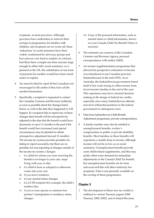recipients, in most provinces. Although provinces have undertaken to reinvest their savings in programmes for families with children, and recipients are no worse off, these 'reductions' in social assistance have been widely condemned by advocacy groups and have proven very hard to explain. In contrast, had there been a simple one-time increase large enough to offset fully social assistance, as is planned in the UK, the substitution of one form of payment for another would have been much easier to explain.

- 4 Tax must be filed by April 30 but Canadians are encouraged to file earlier if they have all the needed information.
- 5 Specifically, a recipient is requested to contact the Canadian Customs and Revenue Authority as soon as possible about the changes listed below, as well as the date they happened or will happen. If a recipient fails to report any of these changes their benefit will be retrospectively adjusted to the date that the benefit would have decreased, or up to 11 months in the past if the benefit would have increased (and special circumstances may be pleaded to obtain retrospective adjustment beyond 11 months). The income tax system provides penalties for failing to report accurately, but there are no penalties for non-reporting of changes outside of the income tax system. Changes:
	- i if a child for whom you were receiving the benefit is no longer in your care, stops living with you, or dies
	- ii if a child is born or adopted or otherwise comes into your care
	- iii if you move residence
	- iv if your marital status changes
	- v if a CCTB recipient (for example, the child's mother) dies
	- vi if you or your spouse or common-law partner's immigration or residency status changes
- vii if any of the personal information, such as marital status or child information, shown on your Canada Child Tax Benefit Notice is incorrect.
- 6 The estimates are courtesy of the Canadian Customs and Revenue Agency, personal correspondence with author (2002).
- 7 An income supplementation programme that allowed for prospective estimation of income was introduced in one Canadian province (Saskatchewan) in the mid-1970s. As in Australia, the Saskatchewan government found itself in hot water trying to collect money from lower-income families at the end of the year. This experience may have coloured decision making in the design of federal tax credits, especially since many Saskatchewan officials moved to influential positions in the federal government in subsequent years.
- 8 Data from Saskatchewan Child Benefit Adjustment programme, private correspondence.
- 9 A family member may also be entitled to unemployment benefits, worker's compensation or public or private disability benefits. Most families on these benefits will experience a sizable drop in income, although income will not be as low as on social assistance. Unemployment benefits provide some child-related supplements, and this may partly offset some demand for immediate adjustments in the Canada Child Tax benefit, but unemployment benefits are far from universal and this will affect relatively few recipients. Data is not presently available on the overlap of these programmes.

#### **Chapter 3**

1 The development of these new tax credits is outlined in various Treasury papers (HM Treasury, 2000, 2002), and in Inland Revenue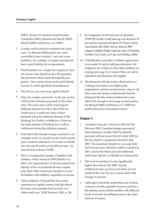(2001), House of Commons Social Security Committee (2001), Bennett and Hirsch (2000), Hirsch (2000) and Brewer *et al*. (2001).

- 2 Couples will be asked to nominate the 'main carer.' As Bennett (2002) points out, 'joint ownership is new territory', and may cause problems, for example, if couples separate but have a joint liability for overpayments.
- 3 If both partners in a couple are employed, they can choose who should receive the payment. But payment will be made through the pay packet – they cannot choose to be paid directly (except in certain specified circumstances).
- 4 The UK tax year runs from April to March.
- 5 Thus, for couples, payments via the pay packet will be reduced before payments to the main carer. The main carer will be receiving the childcare element as well as the Child Tax Credit and so would lose some of their payment when the childcare element of the Working Tax Credit is withdrawn. However, the main element of Working Tax Credit is withdrawn before the childcare element.
- 6 Note that if this income change occurred in, for example, week 12, annual income in the current year would be estimated as 12 weeks at £18,000 pro-rata and 40 weeks at £14,000 pro-rata – an annual total of about £14,900.
- 7 This is a longitudinal sample of families with children, which started in 1999 (Marsh *et al.*, 2001). It is representative of all lone parents but initially of low to moderate income couples only. Since 2001 it has been extended to cover all families with children, regardless of income.
- 8 'Such recipients will generally have some experience of regular contact with the Inland Revenue, and currently have to make two claims each year.' (HM Treasury, 2002, p. 28).
- 9 By comparison, in the final year of operation (1998–99), Family Credit take-up was about 66–70 per cent by caseload and about 73–79 per cent by expenditure (IR, 2002). Survey data for 2001 suggest a slightly higher take-up rates of Working Families Tax Credit, at 67 per cent (McKay, 2003).
- 10 Child Benefit is payable to children aged under 16 or under 19 and in full-time education. All recipients are written to when their children are coming up to age 16, to check if they are still in education and therefore still eligible.
- 11 The disregard will also reduce disincentives to working extra hours or in higher-paid employment, and for second earners, since in all these cases the family would benefit from the disregard. But this reduced disincentive may still not be enough to encourage second earners. See Bennett (2002) and Brewer *et al*. (2002) for further discussion of incentives issues.

#### **Chapter 4**

- 1 Canadians may get a chance to find out: the February 2003 Canadian budget announced that maximum Canada Child Tax Benefit payment will rise from C\$2,632 in July 2003 for the first child to a projected C\$3,243 in July 2007. The maximum benefit for a second child will increase from C\$2,423 in 2003 to C\$3,016 in 2007, and for the third and each additional child from C\$2,427 to C\$3,020 over that period.
- 2 The level of assistance is also significantly higher than before July 2000, and the withdrawal rates are lower, but these are not results of the way the new system deals with changes in income.
- 3 Although it should be noted that none of these systems is strictly equitable because each has a flat plateau across which families with different levels of income nevertheless receive the same amount of money.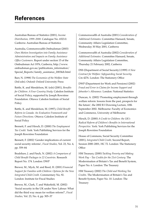Australian Bureau of Statistics (2001), *Income Distribution, 1999–2000.* Catalogue No. 6523.0. Canberra: Australian Bureau of Statistics

Australia, Commonwealth Ombudsman (2003) *Own Motion Investigation into Family Assistance Administration and Impacts on Family Assistance Office Customers*. Report under section 15 of the Ombudsman Act 1976, Canberra, http://www. ombudsman.gov.au/publications\_information/ Special\_Reports/family\_assistance\_2003feb.html

Barr, N. (1998) *The Economics of the Welfare State* (3rd edn). Oxford: Oxford University Press

Battle, K. and Mendelson, M. (eds) (2001), *Benefits for Children: A Four Country Study.* Caledon Institute of Social Policy, supported by Joseph Rowntree Foundation. Ottawa: Caledon Institute of Social Policy

Battle, K. and Mendelson, M. (1997), *Child Benefit Reform in Canada: An Evaluative Framework and Future Directions.* Ottawa: Caledon Institute of Social Policy

Bennett, F. and Hirsch, D. (2000) *The Employment Tax Credit.* York: York Publishing Services for the Joseph Rowntree Foundation

Bennett, F. (2002) 'Gender implications of current social security reforms', *Fiscal Studies,* Vol. 23, No. 4, pp. 559–84

Bradshaw, J. and Finch, N. (2002) *A Comparison of Child Benefit Packages in 22 Countries*. Research Report No. 174. London: DWP

Brewer, M., Myck, M. and Reed, H. (2001) *Financial Support for Families with Children: Options for the New Integrated Child Credit.* Commentary No, 92. London: Institute for Fiscal Studies

Brewer, M., Clark, T. and Wakefield, M. (2002) 'Social security in the UK under New Labour: What did the third way mean for welfare reform?', *Fiscal Studies,* Vol. 23, No. 4, pp. 505–37

Commonwealth of Australia (2001) *Consideration of Additional Estimates*. Committee Hansard, Senate, Community Affairs Legislation Committee, Wednesday 30 May 2001, Canberra

Commonwealth of Australia (2002) *Consideration of Additional Estimates*. Committee Hansard, Senate, Community Affairs Legislation Committee, Thursday 21 February 2002, Canberra

DSS (Department of Social Security) (1999) *A New Contract for Welfare: Safeguarding Social Security.* Cm 4276. London: The Stationery Office

DWP (Department for Work and Pensions) (2002) *Fraud and Error in Claims for Income Support and Jobseeker's Allowance.* London: National Statistics

Duncan, A. (2002) 'Promoting employment through welfare reform: lessons from the past, prospects for the future', the 2002 R I Downing Lecture, 10th September 2002. Melbourne: Faculty of Economics and Commerce, University of Melbourne

Hirsch, D. (2000) *A Credit to Children: the UK's Radical Reform of Children's Benefits in International Perspective*. York: York Publishing Services for the Joseph Rowntree Foundation

House of Commons, Social Security Committee (2001), *Integrated Child Credit,* Second Report, Session 2000*–*2001, HC 72. London: The Stationery **Office** 

HM Treasury, (2000) *Tackling Poverty and Making Work Pay – Tax Credits for the 21st Century.* The Modernisation of Britain's Tax and Benefit System, Paper No. 6. London: The Treasury

HM Treasury (2002) *The Child and Working Tax Credits.* The Modernisation of Britain's Tax and Benefit System, Paper No. 10. London: The Treasury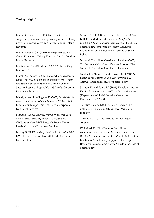Inland Revenue (IR) (2001) 'New Tax Credits; supporting families, making work pay and tackling poverty', a consultative document. London: Inland Revenue

Inland Revenue (IR) (2002) *Working Families Tax Credit: Estimates of Take-up Rates in 2000–01.* London: Inland Revenue

Institute for Fiscal Studies (IFS) (2002) *Green Budget.* London: IFS

Marsh, A., McKay, S., Smith, A. and Stephenson, A. (2001) *Low-Income Families in Britain: Work, Welfare and Social Security in 1999.* Department of Social Security Research Report No. 138. Leeds: Corporate Document Services

Marsh, A. and Rowlingson, K. (2002) *Low/Moderate Income Families in Britain: Changes in 1999 and 2000*. DSS Research Report No. 165. Leeds: Corporate Document Services

McKay, S. (2002) *Low/Moderate Income Families in Britain: Work, Working Families Tax Credit and Childcare in 2000.* DWP Research Report No. 161. Leeds: Corporate Document Services

McKay, S. (2003) *Working Families Tax Credit in 2001*. DWP Research Report No. 181. Leeds: Corporate Document Services

Meyer, D. (2001) 'Benefits for children: the US', in K. Battle and M. Mendelson (eds) *Benefits for Children: A Four Country Study.* Caledon Institute of Social Policy, supported by Joseph Rowntree Foundation. Ottawa: Caledon Institute of Social Policy

National Council for One-Parent Families (2002) *Tax Credits and One-Parent Families.* London: The National Council for One-Parent Families

Naylor, N., Abbott, R. and Hewner, E. (1994) *The Design of the Ontario Child Income Programme.* Ottawa: Caledon Institute of Social Policy

Stanton, D. and Fuery, M. (1995) 'Developments in Family Payments since 1983', *Social Security Journal* (Department of Social Security, Canberra)*,* December, pp. 120–54

Statistics Canada (2001) *Income in Canada 1999*. Catalogue No. 75-202-XIE. Ottowa: Minister of Industry

Thurley, D. (2002) 'Tax credits', *Welfare Rights,* August

Whiteford, P. (2001) 'Benefits for children, Australia', in K. Battle and M. Mendelson, (eds) *Benefits for Children: A Four Country Study.* Caledon Institute of Social Policy, supported by Joseph Rowntree Foundation. Ottawa: Caledon Institute of Social Policy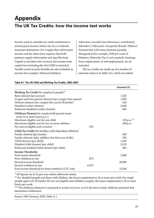## **Appendix**

### **The UK Tax Credits: how the income test works**

Income used to calculate tax credit entitlement is annual gross income, before any tax or national insurance deductions. For couples this will be joint income and the claim form requires that both partners supply information and sign the form. Capital is not taken into account, but income from capital (not including the first £300) is included. Taxable social security benefits are also included as income (for example, Widowed Mothers

Allowance, Invalid Care Allowance, contributory Jobseeker's Allowance, Incapacity Benefit, Widows' Pension) but with some elements partially disregarded (for example, £100 per week of Statutory Maternity Pay is not counted). Earnings from employment, or self-employment, are all included.

The tax credits are made up of a number of elements (shown in Table A1), which are added

|                                                                                |       | Amount $(E)$ |
|--------------------------------------------------------------------------------|-------|--------------|
| Working Tax Credit (for employed people)**                                     |       |              |
| Basic element (per person)                                                     |       | 1,525        |
| Couple and lone parents element (per couple/lone parent)                       |       | 1,500        |
| 30 hours element (for couples this can be 30 jointly)                          |       | 620          |
| Disabled worker element                                                        |       | 2,040        |
| Enhanced disabled worker element                                               |       | 865          |
| Childcare Element (in couples both parents must<br>work 16 or more hours p.w.) |       |              |
| Maximum eligible cost for one child                                            |       | 135 p.w.     |
| Maximum eligible cost for two or more children                                 |       | 200 p.w.     |
| Per cent of eligible costs covered                                             | 70%   |              |
| Child Tax Credit (for families with dependent children)                        |       |              |
| Family element (per family)                                                    |       | 545          |
| Family element, baby addition (for first year of life)                         |       | 545          |
| Child element (per child)                                                      |       | 1,445        |
| Disabled child element (per child)                                             |       | 2,155        |
| Enhanced disabled child element (per child)                                    |       | 865          |
| <b>Income Thresholds</b>                                                       |       |              |
| First income threshold                                                         |       | 5,060        |
| First withdrawal rate                                                          | 37%   |              |
| Second income threshold                                                        |       | 50,000       |
| Second withdrawal rate                                                         | 6.67% |              |
| First income threshold for those entitled to CTC only                          |       | 13,230       |
|                                                                                |       |              |

#### **Table A1 The UK Child and Working Tax Credits, 2003–2004\***

\* All figures are in £s per year unless otherwise stated.

\*\* For disabled people and those with children, the hours requirement is 16 or more per week. For single people aged over 25 (under 25s are not eligible) and childless couples, the hours requirement is 30 or more hours per week.

\*\*\* The childcare element is expressed in weeks not years, as it is the four-weekly childcare payment that determines entitlement.

Source: HM Treasury, 2002, Table A.1